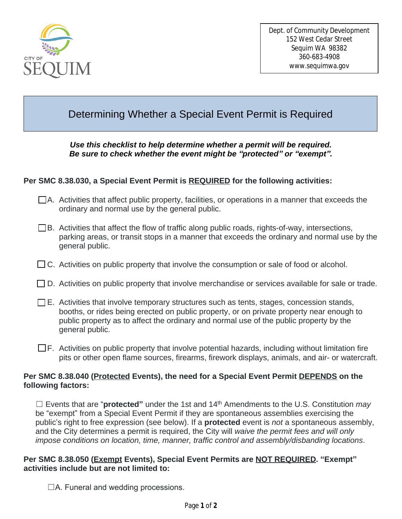

# Determining Whether a Special Event Permit is Required

#### *Use this checklist to help determine whether a permit will be required. Be sure to check whether the event might be "protected" or "exempt".*

## **Per SMC 8.38.030, a Special Event Permit is REQUIRED for the following activities:**

- A. Activities that affect public property, facilities, or operations in a manner that exceeds the ordinary and normal use by the general public.
- $\Box$ B. Activities that affect the flow of traffic along public roads, rights-of-way, intersections, parking areas, or transit stops in a manner that exceeds the ordinary and normal use by the general public.
- $\Box$  C. Activities on public property that involve the consumption or sale of food or alcohol.
- $\Box$  D. Activities on public property that involve merchandise or services available for sale or trade.
- $\square$  E. Activities that involve temporary structures such as tents, stages, concession stands, booths, or rides being erected on public property, or on private property near enough to public property as to affect the ordinary and normal use of the public property by the general public.
- $\square$  F. Activities on public property that involve potential hazards, including without limitation fire pits or other open flame sources, firearms, firework displays, animals, and air- or watercraft.

#### **Per SMC 8.38.040 (Protected Events), the need for a Special Event Permit DEPENDS on the following factors:**

☐ Events that are "**protected"** under the 1st and 14th Amendments to the U.S. Constitution *may* be "exempt" from a Special Event Permit if they are spontaneous assemblies exercising the public's right to free expression (see below). If a **protected** event is *not* a spontaneous assembly, and the City determines a permit is required, the City will *waive the permit fees and will only impose conditions on location, time, manner, traffic control and assembly/disbanding locations*.

## **Per SMC 8.38.050 (Exempt Events), Special Event Permits are NOT REQUIRED. "Exempt" activities include but are not limited to:**

 $\Box A$ . Funeral and wedding processions.